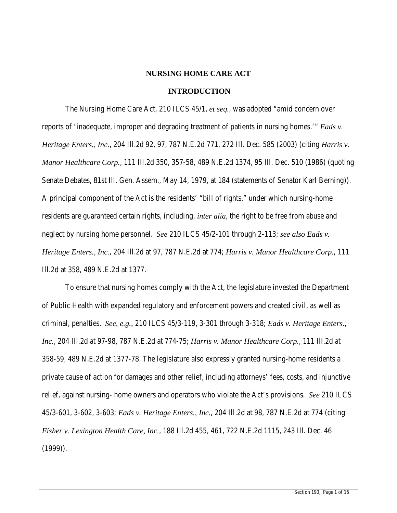#### **NURSING HOME CARE ACT**

#### **INTRODUCTION**

The Nursing Home Care Act, 210 ILCS 45/1, *et seq.*, was adopted "amid concern over reports of 'inadequate, improper and degrading treatment of patients in nursing homes.'" *Eads v. Heritage Enters., Inc.*, 204 Ill.2d 92, 97, 787 N.E.2d 771, 272 Ill. Dec. 585 (2003) (citing *Harris v. Manor Healthcare Corp.*, 111 Ill.2d 350, 357-58, 489 N.E.2d 1374, 95 Ill. Dec. 510 (1986) (quoting Senate Debates, 81st Ill. Gen. Assem., May 14, 1979, at 184 (statements of Senator Karl Berning)). A principal component of the Act is the residents' "bill of rights," under which nursing-home residents are guaranteed certain rights, including, *inter alia*, the right to be free from abuse and neglect by nursing home personnel. *See* 210 ILCS 45/2-101 through 2-113; *see also Eads v. Heritage Enters., Inc.*, 204 Ill.2d at 97, 787 N.E.2d at 774; *Harris v. Manor Healthcare Corp.*, 111 Ill.2d at 358, 489 N.E.2d at 1377.

To ensure that nursing homes comply with the Act, the legislature invested the Department of Public Health with expanded regulatory and enforcement powers and created civil, as well as criminal, penalties. *See, e.g.,* 210 ILCS 45/3-119, 3-301 through 3-318; *Eads v. Heritage Enters., Inc.*, 204 Ill.2d at 97-98, 787 N.E.2d at 774-75; *Harris v. Manor Healthcare Corp.*, 111 Ill.2d at 358-59, 489 N.E.2d at 1377-78. The legislature also expressly granted nursing-home residents a private cause of action for damages and other relief, including attorneys' fees, costs, and injunctive relief, against nursing- home owners and operators who violate the Act's provisions. *See* 210 ILCS 45/3-601, 3-602, 3-603; *Eads v. Heritage Enters., Inc.*, 204 Ill.2d at 98, 787 N.E.2d at 774 (citing *Fisher v. Lexington Health Care, Inc.*, 188 Ill.2d 455, 461, 722 N.E.2d 1115, 243 Ill. Dec. 46 (1999)).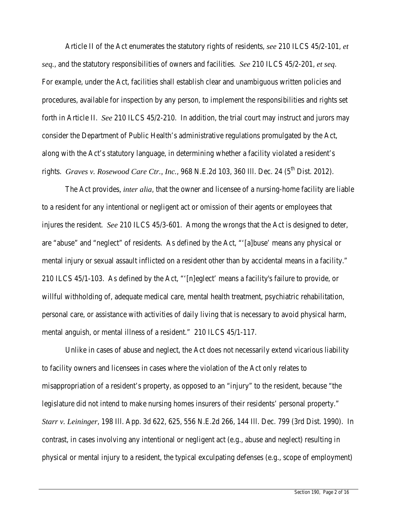Article II of the Act enumerates the statutory rights of residents, *see* 210 ILCS 45/2-101, *et seq.*, and the statutory responsibilities of owners and facilities. *See* 210 ILCS 45/2-201, *et seq*. For example, under the Act, facilities shall establish clear and unambiguous written policies and procedures, available for inspection by any person, to implement the responsibilities and rights set forth in Article II. *See* 210 ILCS 45/2-210. In addition, the trial court may instruct and jurors may consider the Department of Public Health's administrative regulations promulgated by the Act, along with the Act's statutory language, in determining whether a facility violated a resident's rights. *Graves v. Rosewood Care Ctr., Inc.*, 968 N.E.2d 103, 360 Ill. Dec. 24 (5<sup>th</sup> Dist. 2012).

The Act provides*, inter alia*, that the owner and licensee of a nursing-home facility are liable to a resident for any intentional or negligent act or omission of their agents or employees that injures the resident. *See* 210 ILCS 45/3-601. Among the wrongs that the Act is designed to deter, are "abuse" and "neglect" of residents. As defined by the Act, "'[a]buse' means any physical or mental injury or sexual assault inflicted on a resident other than by accidental means in a facility." 210 ILCS 45/1-103. As defined by the Act, "'[n]eglect' means a facility's failure to provide, or willful withholding of, adequate medical care, mental health treatment, psychiatric rehabilitation, personal care, or assistance with activities of daily living that is necessary to avoid physical harm, mental anguish, or mental illness of a resident." 210 ILCS 45/1-117.

Unlike in cases of abuse and neglect, the Act does not necessarily extend vicarious liability to facility owners and licensees in cases where the violation of the Act only relates to misappropriation of a resident's property, as opposed to an "injury" to the resident, because "the legislature did not intend to make nursing homes insurers of their residents' personal property." *Starr v. Leininger*, 198 Ill. App. 3d 622, 625, 556 N.E.2d 266, 144 Ill. Dec. 799 (3rd Dist. 1990). In contrast, in cases involving any intentional or negligent act (e.g., abuse and neglect) resulting in physical or mental injury to a resident, the typical exculpating defenses (e.g., scope of employment)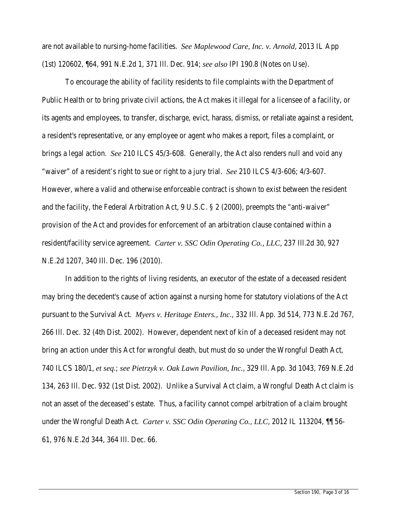are not available to nursing-home facilities. *See Maplewood Care, Inc. v. Arnold*, 2013 IL App (1st) 120602, ¶64, 991 N.E.2d 1, 371 Ill. Dec. 914; *see also* IPI 190.8 (Notes on Use).

To encourage the ability of facility residents to file complaints with the Department of Public Health or to bring private civil actions, the Act makes it illegal for a licensee of a facility, or its agents and employees, to transfer, discharge, evict, harass, dismiss, or retaliate against a resident, a resident's representative, or any employee or agent who makes a report, files a complaint, or brings a legal action. *See* 210 ILCS 45/3-608. Generally, the Act also renders null and void any "waiver" of a resident's right to sue or right to a jury trial. *See* 210 ILCS 4/3-606; 4/3-607. However, where a valid and otherwise enforceable contract is shown to exist between the resident and the facility, the Federal Arbitration Act, 9 U.S.C. § 2 (2000), preempts the "anti-waiver" provision of the Act and provides for enforcement of an arbitration clause contained within a resident/facility service agreement. *Carter v. SSC Odin Operating Co., LLC,* 237 Ill.2d 30, 927 N.E.2d 1207, 340 Ill. Dec. 196 (2010).

In addition to the rights of living residents, an executor of the estate of a deceased resident may bring the decedent's cause of action against a nursing home for statutory violations of the Act pursuant to the Survival Act. *Myers v. Heritage Enters., Inc*., 332 Ill. App. 3d 514, 773 N.E.2d 767, 266 Ill. Dec. 32 (4th Dist. 2002). However, dependent next of kin of a deceased resident may not bring an action under this Act for wrongful death, but must do so under the Wrongful Death Act, 740 ILCS 180/1, *et seq*.; *see Pietrzyk v. Oak Lawn Pavilion, Inc.*, 329 Ill. App. 3d 1043, 769 N.E.2d 134, 263 Ill. Dec. 932 (1st Dist. 2002). Unlike a Survival Act claim, a Wrongful Death Act claim is not an asset of the deceased's estate. Thus, a facility cannot compel arbitration of a claim brought under the Wrongful Death Act. *Carter v. SSC Odin Operating Co.*, *LLC*, 2012 IL 113204, ¶¶ 56- 61, 976 N.E.2d 344, 364 Ill. Dec. 66.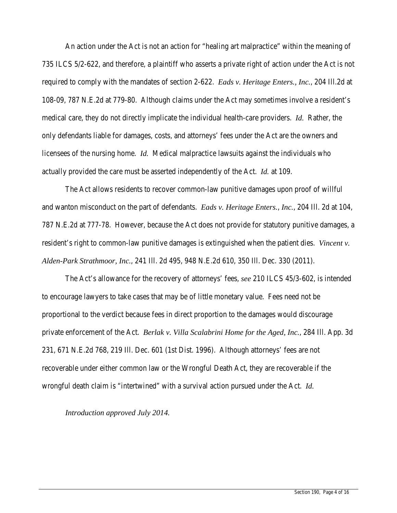An action under the Act is not an action for "healing art malpractice" within the meaning of 735 ILCS 5/2-622, and therefore, a plaintiff who asserts a private right of action under the Act is not required to comply with the mandates of section 2-622. *Eads v. Heritage Enters., Inc.*, 204 Ill.2d at 108-09, 787 N.E.2d at 779-80. Although claims under the Act may sometimes involve a resident's medical care, they do not directly implicate the individual health-care providers. *Id.* Rather, the only defendants liable for damages, costs, and attorneys' fees under the Act are the owners and licensees of the nursing home. *Id.* Medical malpractice lawsuits against the individuals who actually provided the care must be asserted independently of the Act. *Id.* at 109.

The Act allows residents to recover common-law punitive damages upon proof of willful and wanton misconduct on the part of defendants. *Eads v. Heritage Enters.*, *Inc.*, 204 Ill. 2d at 104, 787 N.E.2d at 777-78. However, because the Act does not provide for statutory punitive damages, a resident's right to common-law punitive damages is extinguished when the patient dies. *Vincent v. Alden-Park Strathmoor, Inc.*, 241 Ill. 2d 495, 948 N.E.2d 610, 350 Ill. Dec. 330 (2011).

The Act's allowance for the recovery of attorneys' fees, *see* 210 ILCS 45/3-602, is intended to encourage lawyers to take cases that may be of little monetary value. Fees need not be proportional to the verdict because fees in direct proportion to the damages would discourage private enforcement of the Act. *Berlak v. Villa Scalabrini Home for the Aged, Inc.*, 284 Ill. App. 3d 231, 671 N.E.2d 768, 219 Ill. Dec. 601 (1st Dist. 1996). Although attorneys' fees are not recoverable under either common law or the Wrongful Death Act, they are recoverable if the wrongful death claim is "intertwined" with a survival action pursued under the Act. *Id.*

*Introduction approved July 2014.*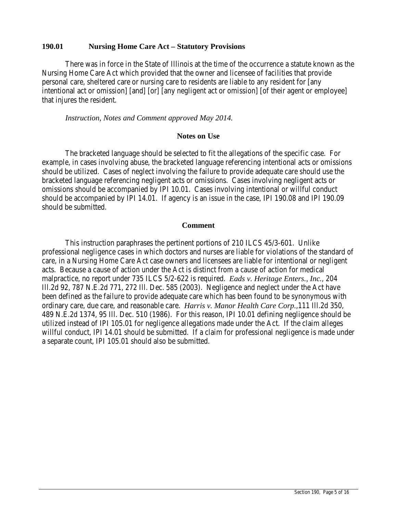### **190.01 Nursing Home Care Act – Statutory Provisions**

There was in force in the State of Illinois at the time of the occurrence a statute known as the Nursing Home Care Act which provided that the owner and licensee of facilities that provide personal care, sheltered care or nursing care to residents are liable to any resident for [any intentional act or omission] [and] [or] [any negligent act or omission] [of their agent or employee] that injures the resident.

*Instruction, Notes and Comment approved May 2014.*

#### **Notes on Use**

The bracketed language should be selected to fit the allegations of the specific case. For example, in cases involving abuse, the bracketed language referencing intentional acts or omissions should be utilized. Cases of neglect involving the failure to provide adequate care should use the bracketed language referencing negligent acts or omissions. Cases involving negligent acts or omissions should be accompanied by IPI 10.01. Cases involving intentional or willful conduct should be accompanied by IPI 14.01. If agency is an issue in the case, IPI 190.08 and IPI 190.09 should be submitted.

#### **Comment**

This instruction paraphrases the pertinent portions of 210 ILCS 45/3-601. Unlike professional negligence cases in which doctors and nurses are liable for violations of the standard of care, in a Nursing Home Care Act case owners and licensees are liable for intentional or negligent acts. Because a cause of action under the Act is distinct from a cause of action for medical malpractice, no report under 735 ILCS 5/2-622 is required. *Eads v. Heritage Enters., Inc.*, 204 Ill.2d 92, 787 N.E.2d 771, 272 Ill. Dec. 585 (2003). Negligence and neglect under the Act have been defined as the failure to provide adequate care which has been found to be synonymous with ordinary care, due care, and reasonable care. *Harris v. Manor Health Care Corp.*,111 Ill.2d 350, 489 N.E.2d 1374, 95 Ill. Dec. 510 (1986). For this reason, IPI 10.01 defining negligence should be utilized instead of IPI 105.01 for negligence allegations made under the Act. If the claim alleges willful conduct, IPI 14.01 should be submitted. If a claim for professional negligence is made under a separate count, IPI 105.01 should also be submitted.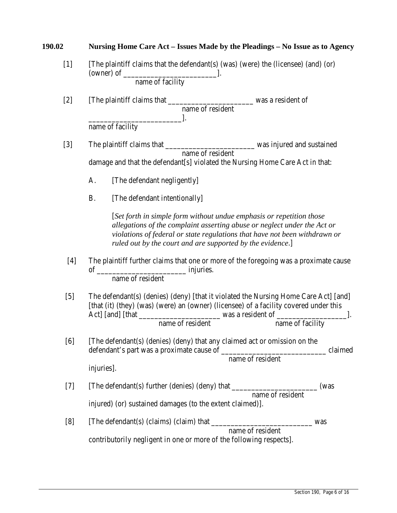| 190.02 | Nursing Home Care Act – Issues Made by the Pleadings – No Issue as to Agency                                                                                                                                                                                                                                                     |  |  |  |
|--------|----------------------------------------------------------------------------------------------------------------------------------------------------------------------------------------------------------------------------------------------------------------------------------------------------------------------------------|--|--|--|
| $[1]$  | [The plaintiff claims that the defendant(s) (was) (were) the (licensee) (and) (or)                                                                                                                                                                                                                                               |  |  |  |
|        | name of facility                                                                                                                                                                                                                                                                                                                 |  |  |  |
| $[2]$  | name of resident                                                                                                                                                                                                                                                                                                                 |  |  |  |
|        | name of facility                                                                                                                                                                                                                                                                                                                 |  |  |  |
| $[3]$  | name of resident                                                                                                                                                                                                                                                                                                                 |  |  |  |
|        | damage and that the defendant[s] violated the Nursing Home Care Act in that:                                                                                                                                                                                                                                                     |  |  |  |
|        | [The defendant negligently]<br>A.                                                                                                                                                                                                                                                                                                |  |  |  |
|        | <b>B.</b><br>[The defendant intentionally]                                                                                                                                                                                                                                                                                       |  |  |  |
|        | [Set forth in simple form without undue emphasis or repetition those<br>allegations of the complaint asserting abuse or neglect under the Act or<br>violations of federal or state regulations that have not been withdrawn or<br>ruled out by the court and are supported by the evidence.]                                     |  |  |  |
| $[4]$  | The plaintiff further claims that one or more of the foregoing was a proximate cause<br>name of resident<br>The defendant(s) (denies) (deny) [that it violated the Nursing Home Care Act] [and]<br>[that (it) (they) (was) (were) an (owner) (licensee) of a facility covered under this<br>name of resident<br>name of facility |  |  |  |
| $[5]$  |                                                                                                                                                                                                                                                                                                                                  |  |  |  |
| [6]    | [The defendant(s) (denies) (deny) that any claimed act or omission on the<br>claimed<br>name of resident<br>injuries].                                                                                                                                                                                                           |  |  |  |
| $[7]$  | (was<br>name of resident                                                                                                                                                                                                                                                                                                         |  |  |  |
|        | injured) (or) sustained damages (to the extent claimed)].                                                                                                                                                                                                                                                                        |  |  |  |
| [8]    | name of resident                                                                                                                                                                                                                                                                                                                 |  |  |  |
|        | contributorily negligent in one or more of the following respects].                                                                                                                                                                                                                                                              |  |  |  |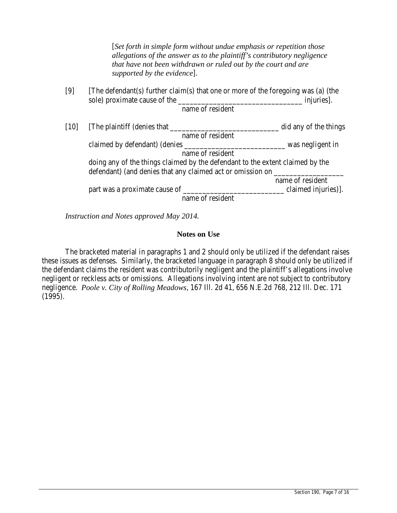[*Set forth in simple form without undue emphasis or repetition those allegations of the answer as to the plaintiff's contributory negligence that have not been withdrawn or ruled out by the court and are supported by the evidence*].

| [9] | The defendant(s) further claim(s) that one or more of the foregoing was (a) (the |            |  |  |  |  |
|-----|----------------------------------------------------------------------------------|------------|--|--|--|--|
|     | sole) proximate cause of the                                                     | injuries]. |  |  |  |  |
|     | name of resident                                                                 |            |  |  |  |  |
|     |                                                                                  |            |  |  |  |  |

| $[10]$ | The plaintiff (denies that                                                    | did any of the things |
|--------|-------------------------------------------------------------------------------|-----------------------|
|        | name of resident                                                              |                       |
|        | claimed by defendant) (denies                                                 | was negligent in      |
|        | name of resident                                                              |                       |
|        | doing any of the things claimed by the defendant to the extent claimed by the |                       |
|        |                                                                               |                       |
|        |                                                                               | name of resident      |
|        | part was a proximate cause of ______                                          | claimed injuries).    |
|        | name of resident                                                              |                       |

*Instruction and Notes approved May 2014.*

## **Notes on Use**

The bracketed material in paragraphs 1 and 2 should only be utilized if the defendant raises these issues as defenses. Similarly, the bracketed language in paragraph 8 should only be utilized if the defendant claims the resident was contributorily negligent and the plaintiff's allegations involve negligent or reckless acts or omissions. Allegations involving intent are not subject to contributory negligence. *Poole v. City of Rolling Meadows*, 167 Ill. 2d 41, 656 N.E.2d 768, 212 Ill. Dec. 171 (1995).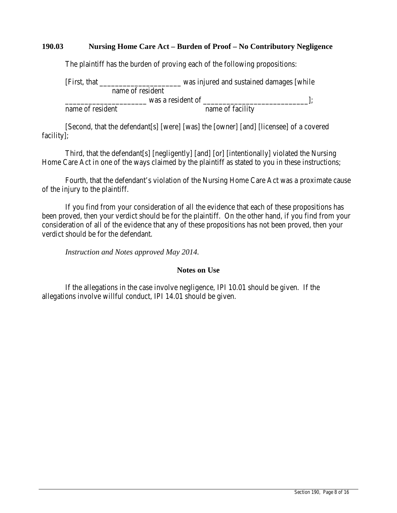## **190.03 Nursing Home Care Act – Burden of Proof – No Contributory Negligence**

The plaintiff has the burden of proving each of the following propositions:

[First, that \_\_\_\_\_\_\_\_\_\_\_\_\_\_\_\_\_\_\_\_\_ was injured and sustained damages [while name of resident was a resident of  $\qquad$ ]; name of resident name of facility

[Second, that the defendant[s] [were] [was] the [owner] [and] [licensee] of a covered facility];

Third, that the defendant[s] [negligently] [and] [or] [intentionally] violated the Nursing Home Care Act in one of the ways claimed by the plaintiff as stated to you in these instructions;

Fourth, that the defendant's violation of the Nursing Home Care Act was a proximate cause of the injury to the plaintiff.

If you find from your consideration of all the evidence that each of these propositions has been proved, then your verdict should be for the plaintiff. On the other hand, if you find from your consideration of all of the evidence that any of these propositions has not been proved, then your verdict should be for the defendant.

*Instruction and Notes approved May 2014.*

#### **Notes on Use**

If the allegations in the case involve negligence, IPI 10.01 should be given. If the allegations involve willful conduct, IPI 14.01 should be given.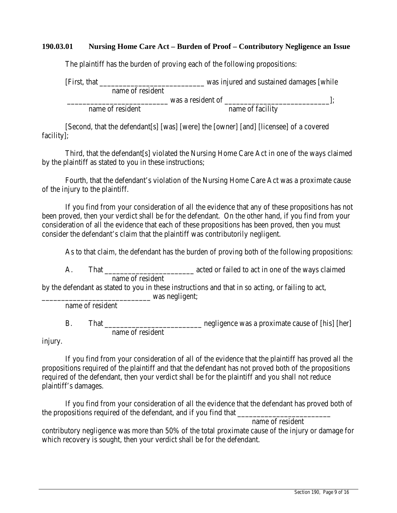## **190.03.01 Nursing Home Care Act – Burden of Proof – Contributory Negligence an Issue**

The plaintiff has the burden of proving each of the following propositions:

| [First, that]    |                  |                   | was injured and sustained damages [while |  |
|------------------|------------------|-------------------|------------------------------------------|--|
|                  | name of resident |                   |                                          |  |
|                  |                  | was a resident of |                                          |  |
| name of resident |                  |                   | name of facility                         |  |

[Second, that the defendant[s] [was] [were] the [owner] [and] [licensee] of a covered facility];

Third, that the defendant[s] violated the Nursing Home Care Act in one of the ways claimed by the plaintiff as stated to you in these instructions;

Fourth, that the defendant's violation of the Nursing Home Care Act was a proximate cause of the injury to the plaintiff.

If you find from your consideration of all the evidence that any of these propositions has not been proved, then your verdict shall be for the defendant. On the other hand, if you find from your consideration of all the evidence that each of these propositions has been proved, then you must consider the defendant's claim that the plaintiff was contributorily negligent.

As to that claim, the defendant has the burden of proving both of the following propositions:

A. That  $\qquad \qquad \text{ated or failed to act in one of the ways claimed}$ name of resident

by the defendant as stated to you in these instructions and that in so acting, or failing to act, was negligent;

name of resident

B. That \_\_\_\_\_\_\_\_\_\_\_\_\_\_\_\_\_\_\_\_\_\_ negligence was a proximate cause of [his] [her] name of resident

injury.

If you find from your consideration of all of the evidence that the plaintiff has proved all the propositions required of the plaintiff and that the defendant has not proved both of the propositions required of the defendant, then your verdict shall be for the plaintiff and you shall not reduce plaintiff's damages.

If you find from your consideration of all the evidence that the defendant has proved both of the propositions required of the defendant, and if you find that \_\_\_\_\_\_\_\_\_\_\_\_\_\_\_\_

name of resident

contributory negligence was more than 50% of the total proximate cause of the injury or damage for which recovery is sought, then your verdict shall be for the defendant.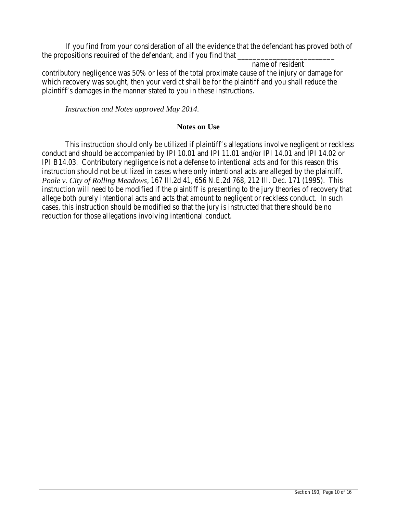If you find from your consideration of all the evidence that the defendant has proved both of the propositions required of the defendant, and if you find that \_\_\_\_\_\_\_\_\_\_\_\_\_\_\_\_

name of resident contributory negligence was 50% or less of the total proximate cause of the injury or damage for which recovery was sought, then your verdict shall be for the plaintiff and you shall reduce the plaintiff's damages in the manner stated to you in these instructions.

*Instruction and Notes approved May 2014.*

### **Notes on Use**

This instruction should only be utilized if plaintiff's allegations involve negligent or reckless conduct and should be accompanied by IPI 10.01 and IPI 11.01 and/or IPI 14.01 and IPI 14.02 or IPI B14.03. Contributory negligence is not a defense to intentional acts and for this reason this instruction should not be utilized in cases where only intentional acts are alleged by the plaintiff. *Poole v. City of Rolling Meadows*, 167 Ill.2d 41, 656 N.E.2d 768, 212 Ill. Dec. 171 (1995). This instruction will need to be modified if the plaintiff is presenting to the jury theories of recovery that allege both purely intentional acts and acts that amount to negligent or reckless conduct. In such cases, this instruction should be modified so that the jury is instructed that there should be no reduction for those allegations involving intentional conduct.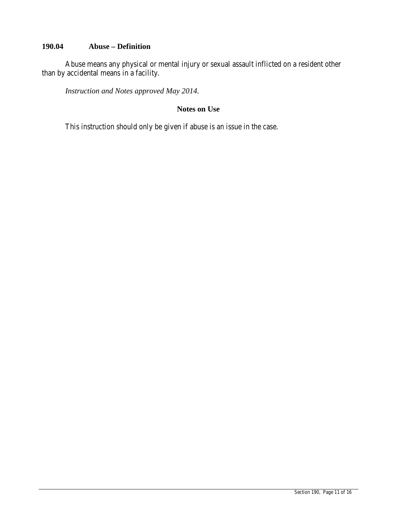# **190.04 Abuse – Definition**

Abuse means any physical or mental injury or sexual assault inflicted on a resident other than by accidental means in a facility.

*Instruction and Notes approved May 2014.*

## **Notes on Use**

This instruction should only be given if abuse is an issue in the case.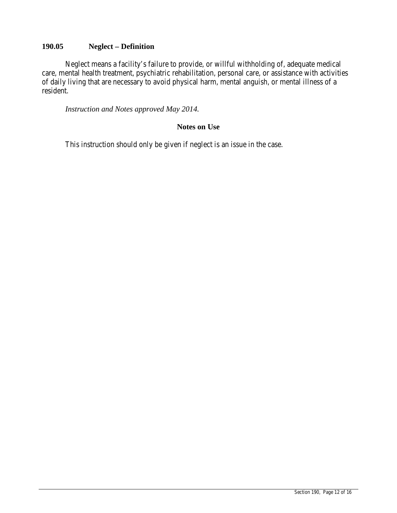## **190.05 Neglect – Definition**

Neglect means a facility's failure to provide, or willful withholding of, adequate medical care, mental health treatment, psychiatric rehabilitation, personal care, or assistance with activities of daily living that are necessary to avoid physical harm, mental anguish, or mental illness of a resident.

*Instruction and Notes approved May 2014.*

## **Notes on Use**

This instruction should only be given if neglect is an issue in the case.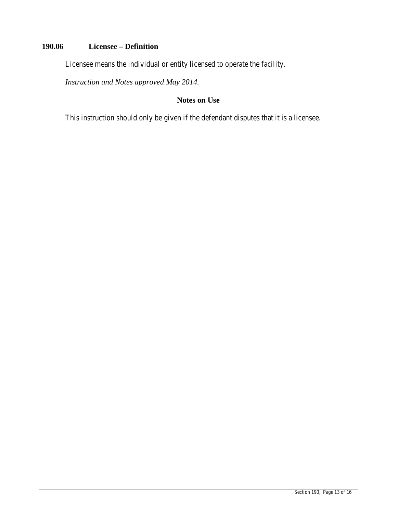# **190.06 Licensee – Definition**

Licensee means the individual or entity licensed to operate the facility.

*Instruction and Notes approved May 2014.*

## **Notes on Use**

This instruction should only be given if the defendant disputes that it is a licensee.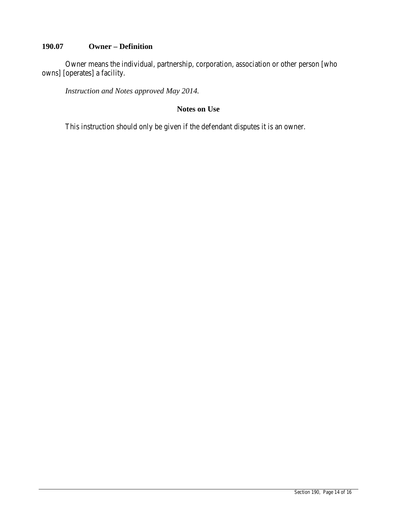# **190.07 Owner – Definition**

Owner means the individual, partnership, corporation, association or other person [who owns] [operates] a facility.

*Instruction and Notes approved May 2014.*

## **Notes on Use**

This instruction should only be given if the defendant disputes it is an owner.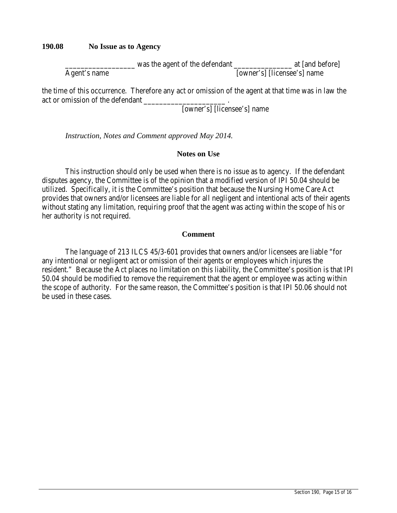## **190.08 No Issue as to Agency**

\_\_\_\_\_\_\_\_\_\_\_\_\_\_\_\_\_\_ was the agent of the defendant \_\_\_\_\_\_\_\_\_\_\_\_\_\_\_ at [and before] Agent's name [owner's] [licensee's] name

the time of this occurrence. Therefore any act or omission of the agent at that time was in law the act or omission of the defendant

[owner's] [licensee's] name

*Instruction, Notes and Comment approved May 2014.*

## **Notes on Use**

This instruction should only be used when there is no issue as to agency. If the defendant disputes agency, the Committee is of the opinion that a modified version of IPI 50.04 should be utilized. Specifically, it is the Committee's position that because the Nursing Home Care Act provides that owners and/or licensees are liable for all negligent and intentional acts of their agents without stating any limitation, requiring proof that the agent was acting within the scope of his or her authority is not required.

### **Comment**

The language of 213 ILCS 45/3-601 provides that owners and/or licensees are liable "for any intentional or negligent act or omission of their agents or employees which injures the resident." Because the Act places no limitation on this liability, the Committee's position is that IPI 50.04 should be modified to remove the requirement that the agent or employee was acting within the scope of authority. For the same reason, the Committee's position is that IPI 50.06 should not be used in these cases.